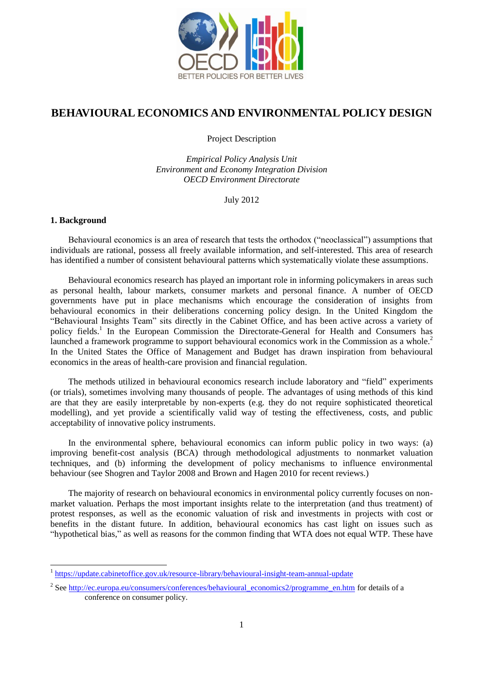

# **BEHAVIOURAL ECONOMICS AND ENVIRONMENTAL POLICY DESIGN**

Project Description

*Empirical Policy Analysis Unit Environment and Economy Integration Division OECD Environment Directorate*

July 2012

#### **1. Background**

l

Behavioural economics is an area of research that tests the orthodox ("neoclassical") assumptions that individuals are rational, possess all freely available information, and self-interested. This area of research has identified a number of consistent behavioural patterns which systematically violate these assumptions.

Behavioural economics research has played an important role in informing policymakers in areas such as personal health, labour markets, consumer markets and personal finance. A number of OECD governments have put in place mechanisms which encourage the consideration of insights from behavioural economics in their deliberations concerning policy design. In the United Kingdom the "Behavioural Insights Team" sits directly in the Cabinet Office, and has been active across a variety of policy fields.<sup>1</sup> In the European Commission the Directorate-General for Health and Consumers has launched a framework programme to support behavioural economics work in the Commission as a whole.<sup>2</sup> In the United States the Office of Management and Budget has drawn inspiration from behavioural economics in the areas of health-care provision and financial regulation.

The methods utilized in behavioural economics research include laboratory and "field" experiments (or trials), sometimes involving many thousands of people. The advantages of using methods of this kind are that they are easily interpretable by non-experts (e.g. they do not require sophisticated theoretical modelling), and yet provide a scientifically valid way of testing the effectiveness, costs, and public acceptability of innovative policy instruments.

In the environmental sphere, behavioural economics can inform public policy in two ways: (a) improving benefit-cost analysis (BCA) through methodological adjustments to nonmarket valuation techniques, and (b) informing the development of policy mechanisms to influence environmental behaviour (see Shogren and Taylor 2008 and Brown and Hagen 2010 for recent reviews.)

The majority of research on behavioural economics in environmental policy currently focuses on nonmarket valuation. Perhaps the most important insights relate to the interpretation (and thus treatment) of protest responses, as well as the economic valuation of risk and investments in projects with cost or benefits in the distant future. In addition, behavioural economics has cast light on issues such as "hypothetical bias," as well as reasons for the common finding that WTA does not equal WTP. These have

<sup>1</sup> <https://update.cabinetoffice.gov.uk/resource-library/behavioural-insight-team-annual-update>

<sup>&</sup>lt;sup>2</sup> See [http://ec.europa.eu/consumers/conferences/behavioural\\_economics2/programme\\_en.htm](http://ec.europa.eu/consumers/conferences/behavioural_economics2/programme_en.htm) for details of a conference on consumer policy.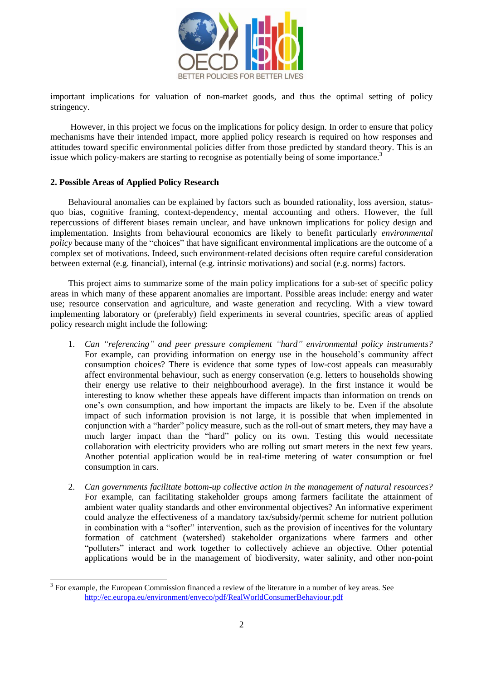

important implications for valuation of non-market goods, and thus the optimal setting of policy stringency.

However, in this project we focus on the implications for policy design. In order to ensure that policy mechanisms have their intended impact, more applied policy research is required on how responses and attitudes toward specific environmental policies differ from those predicted by standard theory. This is an issue which policy-makers are starting to recognise as potentially being of some importance.<sup>3</sup>

#### **2. Possible Areas of Applied Policy Research**

l

Behavioural anomalies can be explained by factors such as bounded rationality, loss aversion, [status](http://en.wikipedia.org/wiki/Status_quo_bias)[quo bias,](http://en.wikipedia.org/wiki/Status_quo_bias) [cognitive framing,](http://en.wikipedia.org/wiki/Framing_(economics)) context-dependency, mental [accounting](http://en.wikipedia.org/wiki/Mental_accounting) and others. However, the full repercussions of different biases remain unclear, and have unknown implications for policy design and implementation. Insights from behavioural economics are likely to benefit particularly *environmental policy* because many of the "choices" that have significant environmental implications are the outcome of a complex set of motivations. Indeed, such environment-related decisions often require careful consideration between external (e.g. financial), internal (e.g. intrinsic motivations) and social (e.g. norms) factors.

This project aims to summarize some of the main policy implications for a sub-set of specific policy areas in which many of these apparent anomalies are important. Possible areas include: energy and water use; resource conservation and agriculture, and waste generation and recycling. With a view toward implementing laboratory or (preferably) field experiments in several countries, specific areas of applied policy research might include the following:

- 1. *Can "referencing" and peer pressure complement "hard" environmental policy instruments?*  For example, can providing information on energy use in the household's community affect consumption choices? There is evidence that some types of low-cost appeals can measurably affect environmental behaviour, such as energy conservation (e.g. letters to households showing their energy use relative to their neighbourhood average). In the first instance it would be interesting to know whether these appeals have different impacts than information on trends on one's own consumption, and how important the impacts are likely to be. Even if the absolute impact of such information provision is not large, it is possible that when implemented in conjunction with a "harder" policy measure, such as the roll-out of smart meters, they may have a much larger impact than the "hard" policy on its own. Testing this would necessitate collaboration with electricity providers who are rolling out smart meters in the next few years. Another potential application would be in real-time metering of water consumption or fuel consumption in cars.
- 2. *Can governments facilitate bottom-up collective action in the management of natural resources?* For example, can facilitating stakeholder groups among farmers facilitate the attainment of ambient water quality standards and other environmental objectives? An informative experiment could analyze the effectiveness of a mandatory tax/subsidy/permit scheme for nutrient pollution in combination with a "softer" intervention, such as the provision of incentives for the voluntary formation of catchment (watershed) stakeholder organizations where farmers and other ―polluters‖ interact and work together to collectively achieve an objective. Other potential applications would be in the management of biodiversity, water salinity, and other non-point

 $3$  For example, the European Commission financed a review of the literature in a number of key areas. See http://ec.europa.eu/environment/enveco/pdf/RealWorldConsumerBehaviour.pdf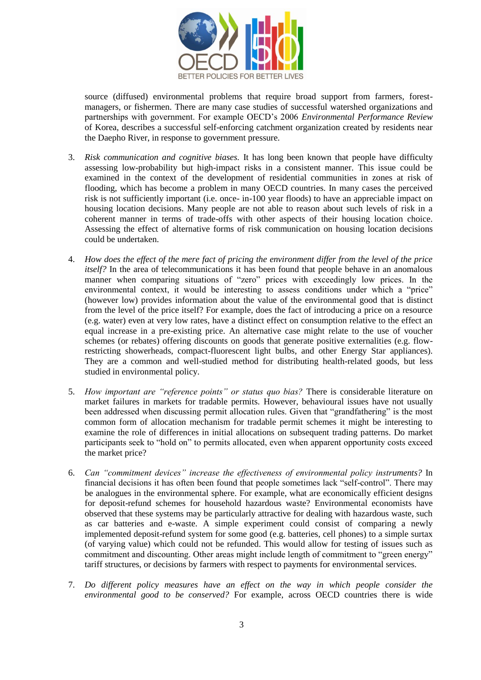

source (diffused) environmental problems that require broad support from farmers, forestmanagers, or fishermen. There are many case studies of successful watershed organizations and partnerships with government. For example OECD's 2006 *Environmental Performance Review* of Korea, describes a successful self-enforcing catchment organization created by residents near the Daepho River, in response to government pressure.

- 3. *Risk communication and cognitive biases.* It has long been known that people have difficulty assessing low-probability but high-impact risks in a consistent manner. This issue could be examined in the context of the development of residential communities in zones at risk of flooding, which has become a problem in many OECD countries. In many cases the perceived risk is not sufficiently important (i.e. once- in-100 year floods) to have an appreciable impact on housing location decisions. Many people are not able to reason about such levels of risk in a coherent manner in terms of trade-offs with other aspects of their housing location choice. Assessing the effect of alternative forms of risk communication on housing location decisions could be undertaken.
- 4. *How does the effect of the mere fact of pricing the environment differ from the level of the price itself?* In the area of telecommunications it has been found that people behave in an anomalous manner when comparing situations of "zero" prices with exceedingly low prices. In the environmental context, it would be interesting to assess conditions under which a "price" (however low) provides information about the value of the environmental good that is distinct from the level of the price itself? For example, does the fact of introducing a price on a resource (e.g. water) even at very low rates, have a distinct effect on consumption relative to the effect an equal increase in a pre-existing price. An alternative case might relate to the use of voucher schemes (or rebates) offering discounts on goods that generate positive externalities (e.g. flowrestricting showerheads, compact-fluorescent light bulbs, and other Energy Star appliances). They are a common and well-studied method for distributing health-related goods, but less studied in environmental policy.
- 5. *How important are "reference points" or status quo bias?* There is considerable literature on market failures in markets for tradable permits. However, behavioural issues have not usually been addressed when discussing permit allocation rules. Given that "grandfathering" is the most common form of allocation mechanism for tradable permit schemes it might be interesting to examine the role of differences in initial allocations on subsequent trading patterns. Do market participants seek to "hold on" to permits allocated, even when apparent opportunity costs exceed the market price?
- 6. *Can "commitment devices" increase the effectiveness of environmental policy instruments?* In financial decisions it has often been found that people sometimes lack "self-control". There may be analogues in the environmental sphere. For example, what are economically efficient designs for deposit-refund schemes for household hazardous waste? Environmental economists have observed that these systems may be particularly attractive for dealing with hazardous waste, such as car batteries and e-waste. A simple experiment could consist of comparing a newly implemented deposit-refund system for some good (e.g. batteries, cell phones) to a simple surtax (of varying value) which could not be refunded. This would allow for testing of issues such as commitment and discounting. Other areas might include length of commitment to "green energy" tariff structures, or decisions by farmers with respect to payments for environmental services.
- 7. *Do different policy measures have an effect on the way in which people consider the environmental good to be conserved?* For example, across OECD countries there is wide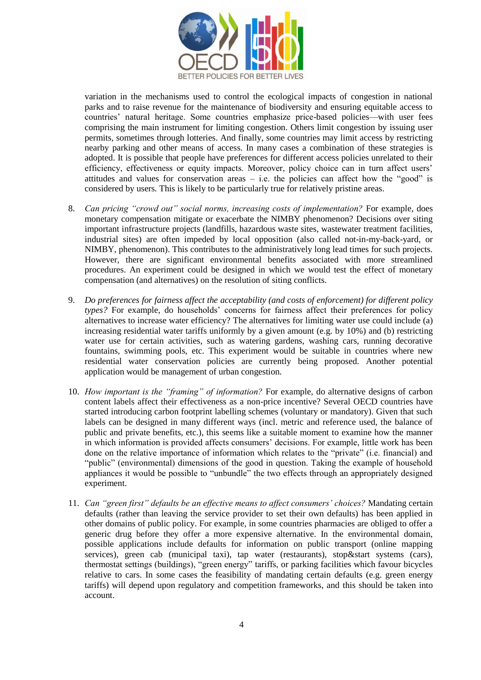

variation in the mechanisms used to control the ecological impacts of congestion in national parks and to raise revenue for the maintenance of biodiversity and ensuring equitable access to countries' natural heritage. Some countries emphasize price-based policies—with user fees comprising the main instrument for limiting congestion. Others limit congestion by issuing user permits, sometimes through lotteries. And finally, some countries may limit access by restricting nearby parking and other means of access. In many cases a combination of these strategies is adopted. It is possible that people have preferences for different access policies unrelated to their efficiency, effectiveness or equity impacts. Moreover, policy choice can in turn affect users' attitudes and values for conservation areas  $-$  i.e. the policies can affect how the "good" is considered by users*.* This is likely to be particularly true for relatively pristine areas.

- 8. *Can pricing "crowd out" social norms, increasing costs of implementation?* For example, does monetary compensation mitigate or exacerbate the NIMBY phenomenon? Decisions over siting important infrastructure projects (landfills, hazardous waste sites, wastewater treatment facilities, industrial sites) are often impeded by local opposition (also called not-in-my-back-yard, or NIMBY, phenomenon). This contributes to the administratively long lead times for such projects. However, there are significant environmental benefits associated with more streamlined procedures. An experiment could be designed in which we would test the effect of monetary compensation (and alternatives) on the resolution of siting conflicts.
- 9. *Do preferences for fairness affect the acceptability (and costs of enforcement) for different policy types?* For example, do households' concerns for fairness affect their preferences for policy alternatives to increase water efficiency? The alternatives for limiting water use could include (a) increasing residential water tariffs uniformly by a given amount (e.g. by 10%) and (b) restricting water use for certain activities, such as watering gardens, washing cars, running decorative fountains, swimming pools, etc. This experiment would be suitable in countries where new residential water conservation policies are currently being proposed. Another potential application would be management of urban congestion.
- 10. *How important is the "framing" of information?* For example, do alternative designs of carbon content labels affect their effectiveness as a non-price incentive? Several OECD countries have started introducing carbon footprint labelling schemes (voluntary or mandatory). Given that such labels can be designed in many different ways (incl. metric and reference used, the balance of public and private benefits, etc.), this seems like a suitable moment to examine how the manner in which information is provided affects consumers' decisions. For example, little work has been done on the relative importance of information which relates to the "private" (i.e. financial) and "public" (environmental) dimensions of the good in question. Taking the example of household appliances it would be possible to "unbundle" the two effects through an appropriately designed experiment.
- 11. *Can "green first" defaults be an effective means to affect consumers' choices?* Mandating certain defaults (rather than leaving the service provider to set their own defaults) has been applied in other domains of public policy. For example, in some countries pharmacies are obliged to offer a generic drug before they offer a more expensive alternative. In the environmental domain, possible applications include defaults for information on public transport (online mapping services), green cab (municipal taxi), tap water (restaurants), stop&start systems (cars), thermostat settings (buildings), "green energy" tariffs, or parking facilities which favour bicycles relative to cars. In some cases the feasibility of mandating certain defaults (e.g. green energy tariffs) will depend upon regulatory and competition frameworks, and this should be taken into account.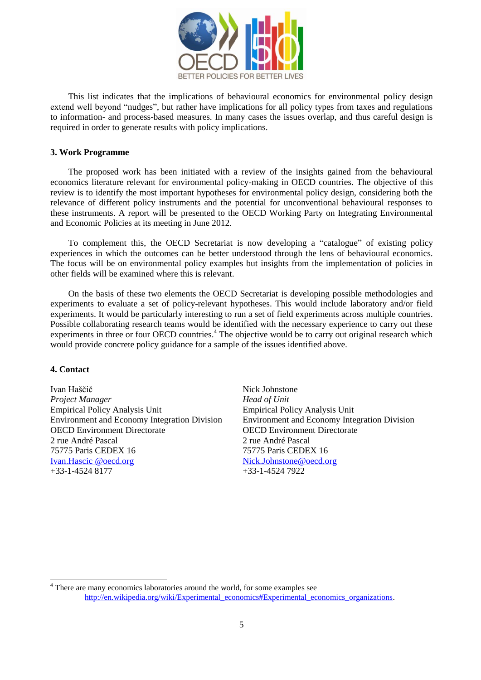

This list indicates that the implications of behavioural economics for environmental policy design extend well beyond "nudges", but rather have implications for all policy types from taxes and regulations to information- and process-based measures. In many cases the issues overlap, and thus careful design is required in order to generate results with policy implications.

#### **3. Work Programme**

The proposed work has been initiated with a review of the insights gained from the behavioural economics literature relevant for environmental policy-making in OECD countries. The objective of this review is to identify the most important hypotheses for environmental policy design, considering both the relevance of different policy instruments and the potential for unconventional behavioural responses to these instruments. A report will be presented to the OECD Working Party on Integrating Environmental and Economic Policies at its meeting in June 2012.

To complement this, the OECD Secretariat is now developing a "catalogue" of existing policy experiences in which the outcomes can be better understood through the lens of behavioural economics. The focus will be on environmental policy examples but insights from the implementation of policies in other fields will be examined where this is relevant.

On the basis of these two elements the OECD Secretariat is developing possible methodologies and experiments to evaluate a set of policy-relevant hypotheses. This would include laboratory and/or field experiments. It would be particularly interesting to run a set of field experiments across multiple countries. Possible collaborating research teams would be identified with the necessary experience to carry out these experiments in three or four OECD countries.<sup>4</sup> The objective would be to carry out original research which would provide concrete policy guidance for a sample of the issues identified above.

#### **4. Contact**

l

Ivan Haščič Nick Johnstone *Project Manager Head of Unit* Empirical Policy Analysis Unit Empirical Policy Analysis Unit OECD Environment Directorate OECD Environment Directorate 2 rue André Pascal 2 rue André Pascal 75775 Paris CEDEX 16 75775 Paris CEDEX 16 [Ivan.Hascic @oecd.org](mailto:Nick.Johnstone@oecd.org) [Nick.Johnstone@oecd.org](mailto:Nick.Johnstone@oecd.org) +33-1-4524 8177 +33-1-4524 7922

Environment and Economy Integration Division Environment and Economy Integration Division

<sup>&</sup>lt;sup>4</sup> There are many economics laboratories around the world, for some examples see [http://en.wikipedia.org/wiki/Experimental\\_economics#Experimental\\_economics\\_organizations.](http://en.wikipedia.org/wiki/Experimental_economics#Experimental_economics_organizations)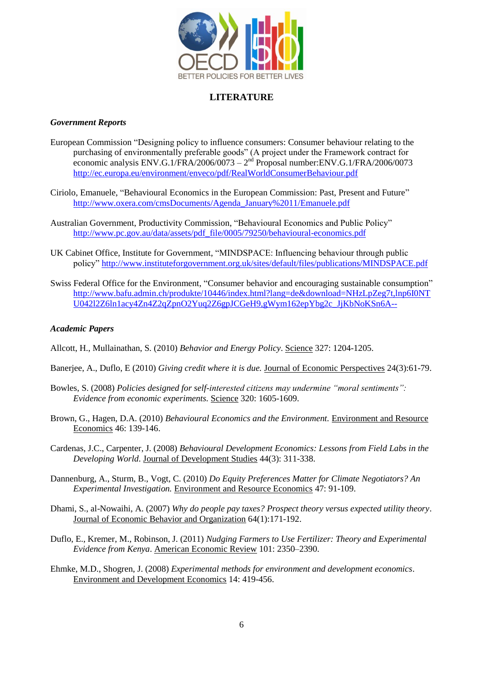

## **LITERATURE**

## *Government Reports*

- European Commission "Designing policy to influence consumers: Consumer behaviour relating to the purchasing of environmentally preferable goods" (A project under the Framework contract for economic analysis ENV.G.1/FRA/2006/0073 –  $2<sup>nd</sup>$  Proposal number:ENV.G.1/FRA/2006/0073 http://ec.europa.eu/environment/enveco/pdf/RealWorldConsumerBehaviour.pdf
- Ciriolo, Emanuele, "Behavioural Economics in the European Commission: Past, Present and Future" [http://www.oxera.com/cmsDocuments/Agenda\\_January%2011/Emanuele.pdf](http://www.oxera.com/cmsDocuments/Agenda_January%2011/Emanuele.pdf)
- Australian Government, Productivity Commission, "Behavioural Economics and Public Policy" http://www.pc.gov.au/data/assets/pdf\_file/0005/79250/behavioural-economics.pdf
- UK Cabinet Office, Institute for Government, "MINDSPACE: Influencing behaviour through public policy‖<http://www.instituteforgovernment.org.uk/sites/default/files/publications/MINDSPACE.pdf>
- Swiss Federal Office for the Environment, "Consumer behavior and encouraging sustainable consumption" [http://www.bafu.admin.ch/produkte/10446/index.html?lang=de&download=NHzLpZeg7t,lnp6I0NT](http://www.bafu.admin.ch/produkte/10446/index.html?lang=de&download=NHzLpZeg7t,lnp6I0NTU042l2Z6ln1acy4Zn4Z2qZpnO2Yuq2Z6gpJCGeH9,gWym162epYbg2c_JjKbNoKSn6A--) [U042l2Z6ln1acy4Zn4Z2qZpnO2Yuq2Z6gpJCGeH9,gWym162epYbg2c\\_JjKbNoKSn6A--](http://www.bafu.admin.ch/produkte/10446/index.html?lang=de&download=NHzLpZeg7t,lnp6I0NTU042l2Z6ln1acy4Zn4Z2qZpnO2Yuq2Z6gpJCGeH9,gWym162epYbg2c_JjKbNoKSn6A--)

## *Academic Papers*

Allcott, H., Mullainathan, S. (2010) *Behavior and Energy Policy*. Science 327: 1204-1205.

- Banerjee, A., Duflo, E (2010) *Giving credit where it is due.* Journal of Economic Perspectives 24(3):61-79.
- Bowles, S. (2008) *Policies designed for self-interested citizens may undermine "moral sentiments": Evidence from economic experiments.* Science 320: 1605-1609.
- Brown, G., Hagen, D.A. (2010) *Behavioural Economics and the Environment.* Environment and Resource Economics 46: 139-146.
- Cardenas, J.C., Carpenter, J. (2008) *Behavioural Development Economics: Lessons from Field Labs in the Developing World*. Journal of Development Studies 44(3): 311-338.
- Dannenburg, A., Sturm, B., Vogt, C. (2010) *Do Equity Preferences Matter for Climate Negotiators? An Experimental Investigation.* Environment and Resource Economics 47: 91-109.
- Dhami, S., al-Nowaihi, A. (2007) *Why do people pay taxes? Prospect theory versus expected utility theory*. Journal of Economic Behavior and Organization 64(1):171-192.
- Duflo, E., Kremer, M., Robinson, J. (2011) *Nudging Farmers to Use Fertilizer: Theory and Experimental Evidence from Kenya*. American Economic Review 101: 2350–2390.
- Ehmke, M.D., Shogren, J. (2008) *Experimental methods for environment and development economics*. Environment and Development Economics 14: 419-456.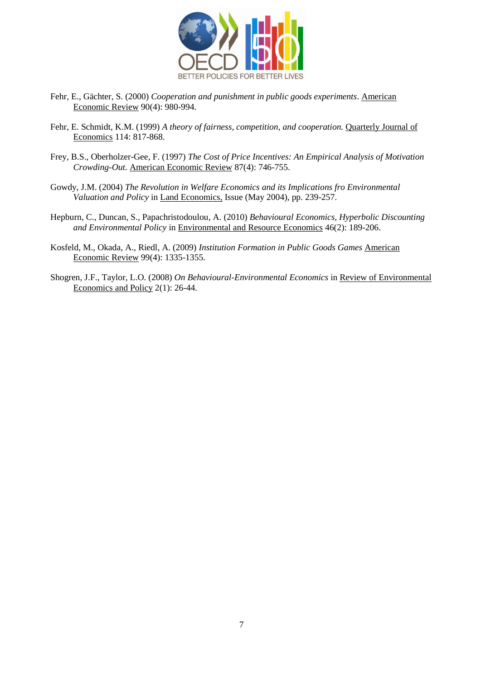

- Fehr, E., Gächter, S. (2000) *Cooperation and punishment in public goods experiments*. American Economic Review 90(4): 980-994.
- Fehr, E. Schmidt, K.M. (1999) *A theory of fairness, competition, and cooperation.* Quarterly Journal of Economics 114: 817-868.
- Frey, B.S., Oberholzer-Gee, F. (1997) *The Cost of Price Incentives: An Empirical Analysis of Motivation Crowding-Out.* American Economic Review 87(4): 746-755.
- Gowdy, J.M. (2004) *The Revolution in Welfare Economics and its Implications fro Environmental Valuation and Policy* in Land Economics, Issue (May 2004), pp. 239-257.
- Hepburn, C., Duncan, S., Papachristodoulou, A. (2010) *Behavioural Economics, Hyperbolic Discounting and Environmental Policy* in Environmental and Resource Economics 46(2): 189-206.
- Kosfeld, M., Okada, A., Riedl, A. (2009) *Institution Formation in Public Goods Games* American Economic Review 99(4): 1335-1355.
- Shogren, J.F., Taylor, L.O. (2008) *On Behavioural-Environmental Economics* in Review of Environmental Economics and Policy 2(1): 26-44.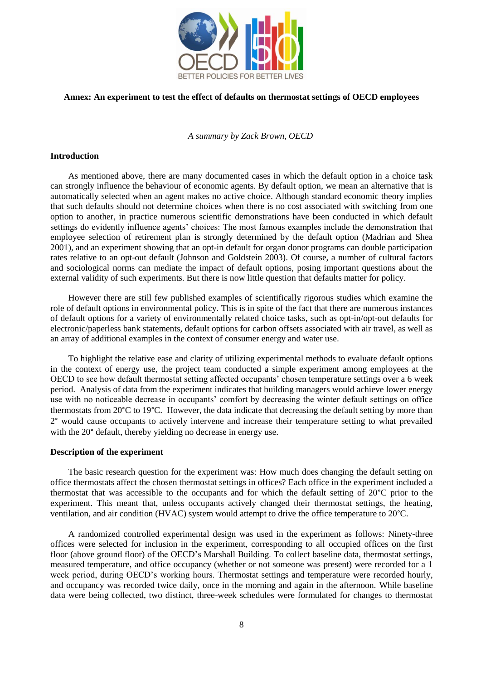

## **Annex: An experiment to test the effect of defaults on thermostat settings of OECD employees**

*A summary by Zack Brown, OECD*

#### **Introduction**

As mentioned above, there are many documented cases in which the default option in a choice task can strongly influence the behaviour of economic agents. By default option, we mean an alternative that is automatically selected when an agent makes no active choice. Although standard economic theory implies that such defaults should not determine choices when there is no cost associated with switching from one option to another, in practice numerous scientific demonstrations have been conducted in which default settings do evidently influence agents' choices: The most famous examples include the demonstration that employee selection of retirement plan is strongly determined by the default option (Madrian and Shea 2001), and an experiment showing that an opt-in default for organ donor programs can double participation rates relative to an opt-out default (Johnson and Goldstein 2003). Of course, a number of cultural factors and sociological norms can mediate the impact of default options, posing important questions about the external validity of such experiments. But there is now little question that defaults matter for policy.

However there are still few published examples of scientifically rigorous studies which examine the role of default options in environmental policy. This is in spite of the fact that there are numerous instances of default options for a variety of environmentally related choice tasks, such as opt-in/opt-out defaults for electronic/paperless bank statements, default options for carbon offsets associated with air travel, as well as an array of additional examples in the context of consumer energy and water use.

To highlight the relative ease and clarity of utilizing experimental methods to evaluate default options in the context of energy use, the project team conducted a simple experiment among employees at the OECD to see how default thermostat setting affected occupants' chosen temperature settings over a 6 week period. Analysis of data from the experiment indicates that building managers would achieve lower energy use with no noticeable decrease in occupants' comfort by decreasing the winter default settings on office thermostats from 20°C to 19°C. However, the data indicate that decreasing the default setting by more than 2° would cause occupants to actively intervene and increase their temperature setting to what prevailed with the 20<sup>°</sup> default, thereby yielding no decrease in energy use.

#### **Description of the experiment**

The basic research question for the experiment was: How much does changing the default setting on office thermostats affect the chosen thermostat settings in offices? Each office in the experiment included a thermostat that was accessible to the occupants and for which the default setting of 20°C prior to the experiment. This meant that, unless occupants actively changed their thermostat settings, the heating, ventilation, and air condition (HVAC) system would attempt to drive the office temperature to 20°C.

A randomized controlled experimental design was used in the experiment as follows: Ninety-three offices were selected for inclusion in the experiment, corresponding to all occupied offices on the first floor (above ground floor) of the OECD's Marshall Building. To collect baseline data, thermostat settings, measured temperature, and office occupancy (whether or not someone was present) were recorded for a 1 week period, during OECD's working hours. Thermostat settings and temperature were recorded hourly, and occupancy was recorded twice daily, once in the morning and again in the afternoon. While baseline data were being collected, two distinct, three-week schedules were formulated for changes to thermostat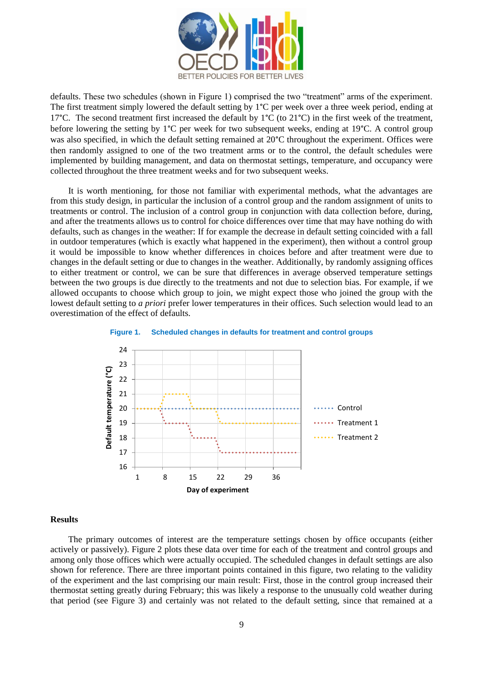

defaults. These two schedules (shown in Figure 1) comprised the two "treatment" arms of the experiment. The first treatment simply lowered the default setting by 1°C per week over a three week period, ending at 17°C. The second treatment first increased the default by  $1^{\circ}C$  (to  $21^{\circ}C$ ) in the first week of the treatment, before lowering the setting by 1°C per week for two subsequent weeks, ending at 19°C. A control group was also specified, in which the default setting remained at 20°C throughout the experiment. Offices were then randomly assigned to one of the two treatment arms or to the control, the default schedules were implemented by building management, and data on thermostat settings, temperature, and occupancy were collected throughout the three treatment weeks and for two subsequent weeks.

It is worth mentioning, for those not familiar with experimental methods, what the advantages are from this study design, in particular the inclusion of a control group and the random assignment of units to treatments or control. The inclusion of a control group in conjunction with data collection before, during, and after the treatments allows us to control for choice differences over time that may have nothing do with defaults, such as changes in the weather: If for example the decrease in default setting coincided with a fall in outdoor temperatures (which is exactly what happened in the experiment), then without a control group it would be impossible to know whether differences in choices before and after treatment were due to changes in the default setting or due to changes in the weather. Additionally, by randomly assigning offices to either treatment or control, we can be sure that differences in average observed temperature settings between the two groups is due directly to the treatments and not due to selection bias. For example, if we allowed occupants to choose which group to join, we might expect those who joined the group with the lowest default setting to *a priori* prefer lower temperatures in their offices. Such selection would lead to an overestimation of the effect of defaults.





#### **Results**

The primary outcomes of interest are the temperature settings chosen by office occupants (either actively or passively). Figure 2 plots these data over time for each of the treatment and control groups and among only those offices which were actually occupied. The scheduled changes in default settings are also shown for reference. There are three important points contained in this figure, two relating to the validity of the experiment and the last comprising our main result: First, those in the control group increased their thermostat setting greatly during February; this was likely a response to the unusually cold weather during that period (see Figure 3) and certainly was not related to the default setting, since that remained at a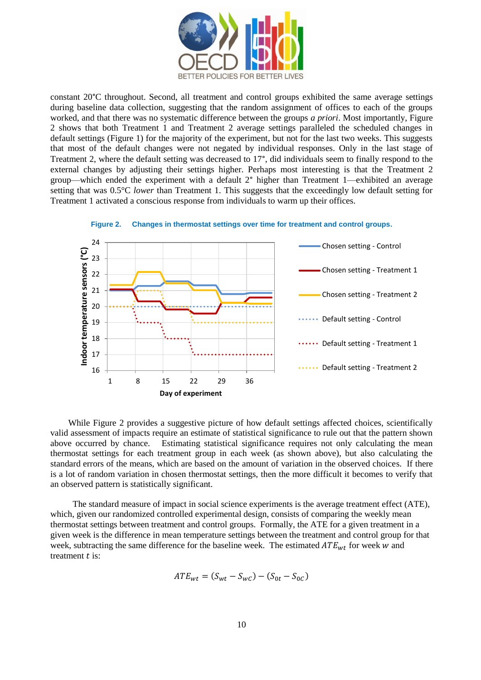

constant 20°C throughout. Second, all treatment and control groups exhibited the same average settings during baseline data collection, suggesting that the random assignment of offices to each of the groups worked, and that there was no systematic difference between the groups *a priori*. Most importantly, Figure 2 shows that both Treatment 1 and Treatment 2 average settings paralleled the scheduled changes in default settings (Figure 1) for the majority of the experiment, but not for the last two weeks. This suggests that most of the default changes were not negated by individual responses. Only in the last stage of Treatment 2, where the default setting was decreased to 17°, did individuals seem to finally respond to the external changes by adjusting their settings higher. Perhaps most interesting is that the Treatment 2 group—which ended the experiment with a default 2° higher than Treatment 1—exhibited an average setting that was 0.5°C *lower* than Treatment 1. This suggests that the exceedingly low default setting for Treatment 1 activated a conscious response from individuals to warm up their offices.



**Figure 2. Changes in thermostat settings over time for treatment and control groups.**

While Figure 2 provides a suggestive picture of how default settings affected choices, scientifically valid assessment of impacts require an estimate of statistical significance to rule out that the pattern shown above occurred by chance. Estimating statistical significance requires not only calculating the mean thermostat settings for each treatment group in each week (as shown above), but also calculating the standard errors of the means, which are based on the amount of variation in the observed choices. If there is a lot of random variation in chosen thermostat settings, then the more difficult it becomes to verify that an observed pattern is statistically significant.

 The standard measure of impact in social science experiments is the average treatment effect (ATE), which, given our randomized controlled experimental design, consists of comparing the weekly mean thermostat settings between treatment and control groups. Formally, the ATE for a given treatment in a given week is the difference in mean temperature settings between the treatment and control group for that week, subtracting the same difference for the baseline week. The estimated  $ATE_{wt}$  for week w and treatment  $t$  is:

$$
ATE_{wt} = (S_{wt} - S_{wc}) - (S_{0t} - S_{0c})
$$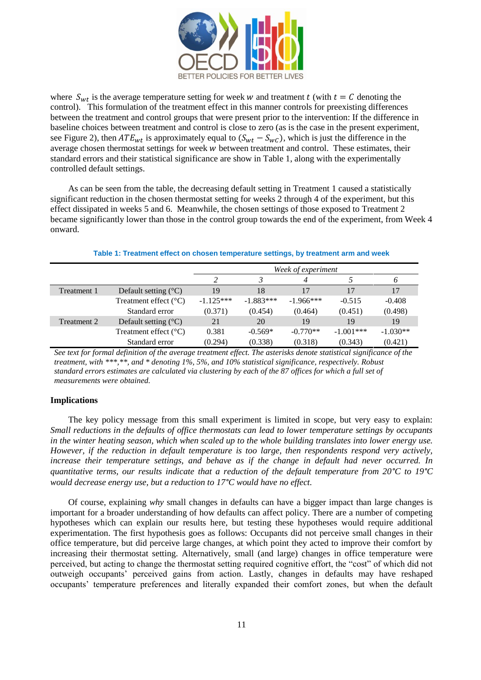

where  $S_{wt}$  is the average temperature setting for week w and treatment t (with  $t = C$  denoting the control). This formulation of the treatment effect in this manner controls for preexisting differences between the treatment and control groups that were present prior to the intervention: If the difference in baseline choices between treatment and control is close to zero (as is the case in the present experiment, see Figure 2), then  $ATE_{wt}$  is approximately equal to  $(S_{wt} - S_{wc})$ , which is just the difference in the average chosen thermostat settings for week  $w$  between treatment and control. These estimates, their standard errors and their statistical significance are show in Table 1, along with the experimentally controlled default settings.

As can be seen from the table, the decreasing default setting in Treatment 1 caused a statistically significant reduction in the chosen thermostat setting for weeks 2 through 4 of the experiment, but this effect dissipated in weeks 5 and 6. Meanwhile, the chosen settings of those exposed to Treatment 2 became significantly lower than those in the control group towards the end of the experiment, from Week 4 onward.

|             |                                 | Week of experiment |             |             |             |            |
|-------------|---------------------------------|--------------------|-------------|-------------|-------------|------------|
|             |                                 |                    |             |             |             | O          |
| Treatment 1 | Default setting $({}^{\circ}C)$ | 19                 | 18          | 17          | 17          | 17         |
|             | Treatment effect $(^{\circ}C)$  | $-1.125***$        | $-1.883***$ | $-1.966***$ | $-0.515$    | $-0.408$   |
|             | Standard error                  | (0.371)            | (0.454)     | (0.464)     | (0.451)     | (0.498)    |
| Treatment 2 | Default setting $({}^{\circ}C)$ | 21                 | 20          | 19          | 19          | 19         |
|             | Treatment effect $(^{\circ}C)$  | 0.381              | $-0.569*$   | $-0.770**$  | $-1.001***$ | $-1.030**$ |
|             | Standard error                  | (0.294)            | (0.338)     | (0.318)     | (0.343)     | (0.421)    |

#### **Table 1: Treatment effect on chosen temperature settings, by treatment arm and week**

*See text for formal definition of the average treatment effect. The asterisks denote statistical significance of the treatment, with \*\*\*,\*\*, and \* denoting 1%, 5%, and 10% statistical significance, respectively. Robust standard errors estimates are calculated via clustering by each of the 87 offices for which a full set of measurements were obtained.* 

## **Implications**

The key policy message from this small experiment is limited in scope, but very easy to explain: *Small reductions in the defaults of office thermostats can lead to lower temperature settings by occupants in the winter heating season, which when scaled up to the whole building translates into lower energy use. However, if the reduction in default temperature is too large, then respondents respond very actively, increase their temperature settings, and behave as if the change in default had never occurred. In quantitative terms, our results indicate that a reduction of the default temperature from 20°C to 19°C would decrease energy use, but a reduction to 17°C would have no effect.*

Of course, explaining *why* small changes in defaults can have a bigger impact than large changes is important for a broader understanding of how defaults can affect policy. There are a number of competing hypotheses which can explain our results here, but testing these hypotheses would require additional experimentation. The first hypothesis goes as follows: Occupants did not perceive small changes in their office temperature, but did perceive large changes, at which point they acted to improve their comfort by increasing their thermostat setting. Alternatively, small (and large) changes in office temperature were perceived, but acting to change the thermostat setting required cognitive effort, the "cost" of which did not outweigh occupants' perceived gains from action. Lastly, changes in defaults may have reshaped occupants' temperature preferences and literally expanded their comfort zones, but when the default